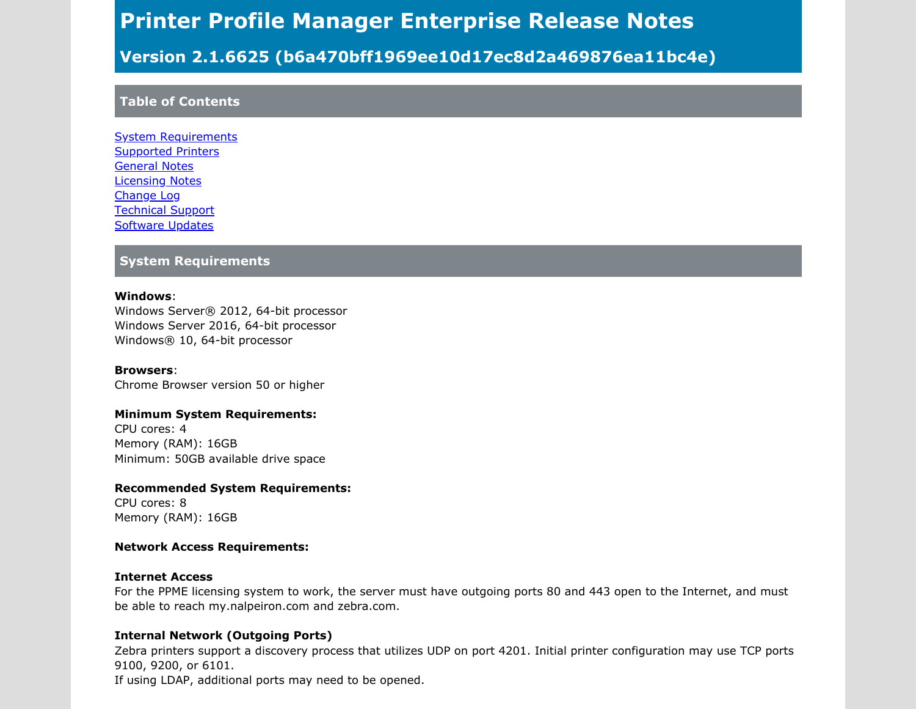# Printer Profile Manager Enterprise Release Notes

# Version 2.1.6625 (b6a470bff1969ee10d17ec8d2a469876ea11bc4e)

### Table of Contents

[System Requirements](#page-0-0) [Supported Printers](#page-1-0) [General Notes](#page-1-1) [Licensing Notes](#page-3-0) [Change Log](#page-3-1) [Technical Support](#page-5-0) [Software Updates](#page-5-1)

#### <span id="page-0-0"></span>System Requirements

#### Windows:

Windows Server® 2012, 64-bit processor Windows Server 2016, 64-bit processor Windows® 10, 64-bit processor

Browsers: Chrome Browser version 50 or higher

#### Minimum System Requirements:

CPU cores: 4 Memory (RAM): 16GB Minimum: 50GB available drive space

#### Recommended System Requirements:

CPU cores: 8 Memory (RAM): 16GB

#### Network Access Requirements:

#### Internet Access

For the PPME licensing system to work, the server must have outgoing ports 80 and 443 open to the Internet, and must be able to reach my.nalpeiron.com and zebra.com.

#### Internal Network (Outgoing Ports)

Zebra printers support a discovery process that utilizes UDP on port 4201. Initial printer configuration may use TCP ports 9100, 9200, or 6101.

If using LDAP, additional ports may need to be opened.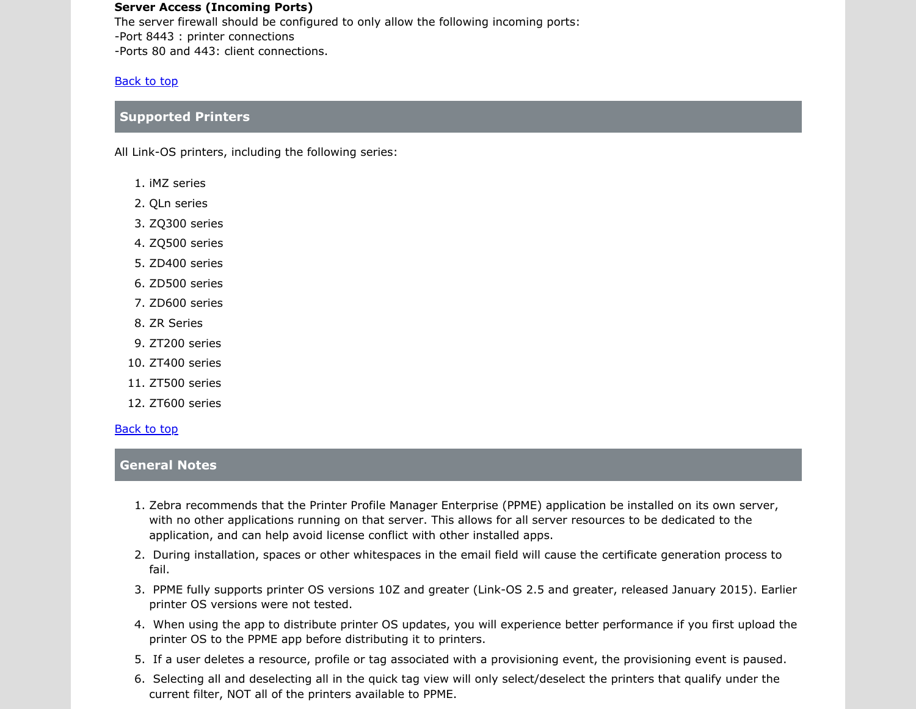#### Server Access (Incoming Ports)

The server firewall should be configured to only allow the following incoming ports: -Port 8443 : printer connections -Ports 80 and 443: client connections.

#### Back to top

#### <span id="page-1-0"></span>Supported Printers

All Link-OS printers, including the following series:

- 1. iMZ series
- 2. QLn series
- 3. ZQ300 series
- 4. ZQ500 series
- 5. ZD400 series
- 6. ZD500 series
- 7. ZD600 series
- 8. ZR Series
- 9. ZT200 series
- 10. ZT400 series
- 11. ZT500 series
- 12. ZT600 series

#### Back to top

#### <span id="page-1-1"></span>General Notes

- 1. Zebra recommends that the Printer Profile Manager Enterprise (PPME) application be installed on its own server, with no other applications running on that server. This allows for all server resources to be dedicated to the application, and can help avoid license conflict with other installed apps.
- 2. During installation, spaces or other whitespaces in the email field will cause the certificate generation process to fail.
- 3. PPME fully supports printer OS versions 10Z and greater (Link-OS 2.5 and greater, released January 2015). Earlier printer OS versions were not tested.
- 4. When using the app to distribute printer OS updates, you will experience better performance if you first upload the printer OS to the PPME app before distributing it to printers.
- 5. If a user deletes a resource, profile or tag associated with a provisioning event, the provisioning event is paused.
- 6. Selecting all and deselecting all in the quick tag view will only select/deselect the printers that qualify under the current filter, NOT all of the printers available to PPME.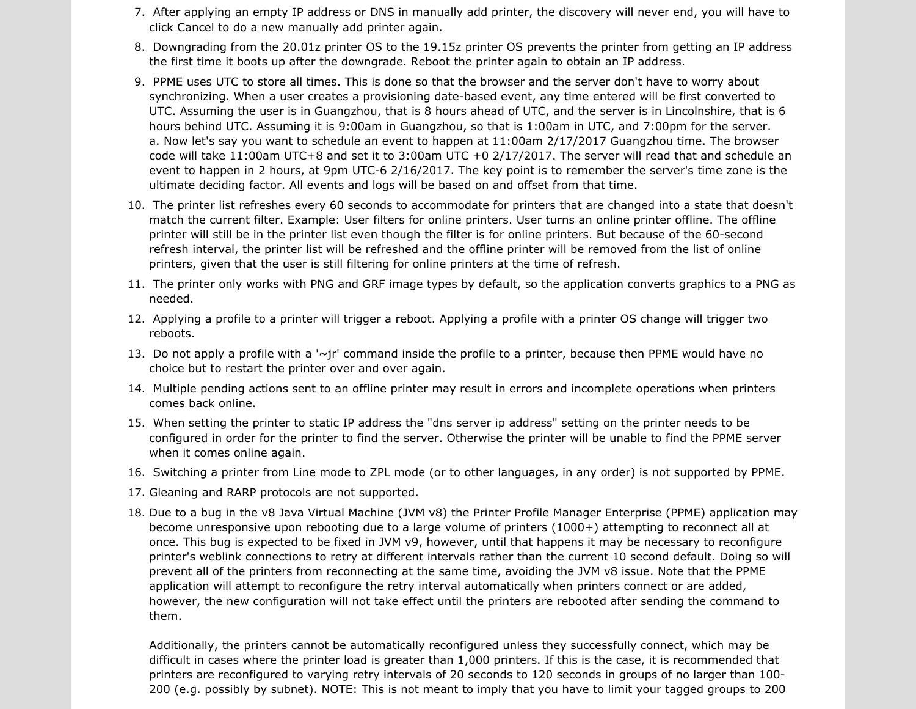- 7. After applying an empty IP address or DNS in manually add printer, the discovery will never end, you will have to click Cancel to do a new manually add printer again.
- 8. Downgrading from the 20.01z printer OS to the 19.15z printer OS prevents the printer from getting an IP address the first time it boots up after the downgrade. Reboot the printer again to obtain an IP address.
- 9. PPME uses UTC to store all times. This is done so that the browser and the server don't have to worry about synchronizing. When a user creates a provisioning date-based event, any time entered will be first converted to UTC. Assuming the user is in Guangzhou, that is 8 hours ahead of UTC, and the server is in Lincolnshire, that is 6 hours behind UTC. Assuming it is 9:00am in Guangzhou, so that is 1:00am in UTC, and 7:00pm for the server. a. Now let's say you want to schedule an event to happen at 11:00am 2/17/2017 Guangzhou time. The browser code will take 11:00am UTC+8 and set it to 3:00am UTC +0 2/17/2017. The server will read that and schedule an event to happen in 2 hours, at 9pm UTC-6 2/16/2017. The key point is to remember the server's time zone is the ultimate deciding factor. All events and logs will be based on and offset from that time.
- 10. The printer list refreshes every 60 seconds to accommodate for printers that are changed into a state that doesn't match the current filter. Example: User filters for online printers. User turns an online printer offline. The offline printer will still be in the printer list even though the filter is for online printers. But because of the 60-second refresh interval, the printer list will be refreshed and the offline printer will be removed from the list of online printers, given that the user is still filtering for online printers at the time of refresh.
- 11. The printer only works with PNG and GRF image types by default, so the application converts graphics to a PNG as needed.
- 12. Applying a profile to a printer will trigger a reboot. Applying a profile with a printer OS change will trigger two reboots.
- 13. Do not apply a profile with a '~jr' command inside the profile to a printer, because then PPME would have no choice but to restart the printer over and over again.
- 14. Multiple pending actions sent to an offline printer may result in errors and incomplete operations when printers comes back online.
- 15. When setting the printer to static IP address the "dns server ip address" setting on the printer needs to be configured in order for the printer to find the server. Otherwise the printer will be unable to find the PPME server when it comes online again.
- 16. Switching a printer from Line mode to ZPL mode (or to other languages, in any order) is not supported by PPME.
- 17. Gleaning and RARP protocols are not supported.
- 18. Due to a bug in the v8 Java Virtual Machine (JVM v8) the Printer Profile Manager Enterprise (PPME) application may become unresponsive upon rebooting due to a large volume of printers (1000+) attempting to reconnect all at once. This bug is expected to be fixed in JVM v9, however, until that happens it may be necessary to reconfigure printer's weblink connections to retry at different intervals rather than the current 10 second default. Doing so will prevent all of the printers from reconnecting at the same time, avoiding the JVM v8 issue. Note that the PPME application will attempt to reconfigure the retry interval automatically when printers connect or are added, however, the new configuration will not take effect until the printers are rebooted after sending the command to them.

Additionally, the printers cannot be automatically reconfigured unless they successfully connect, which may be difficult in cases where the printer load is greater than 1,000 printers. If this is the case, it is recommended that printers are reconfigured to varying retry intervals of 20 seconds to 120 seconds in groups of no larger than 100- 200 (e.g. possibly by subnet). NOTE: This is not meant to imply that you have to limit your tagged groups to 200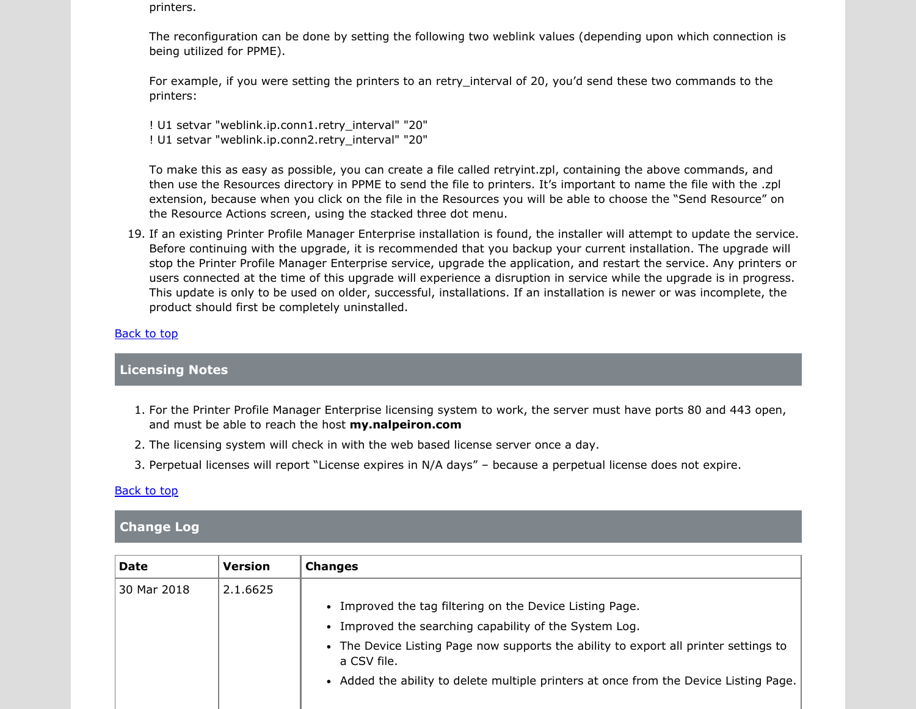printers.

The reconfiguration can be done by setting the following two weblink values (depending upon which connection is being utilized for PPME).

For example, if you were setting the printers to an retry interval of 20, you'd send these two commands to the printers:

! U1 setvar "weblink.ip.conn1.retry\_interval" "20" ! U1 setvar "weblink.ip.conn2.retry\_interval" "20"

To make this as easy as possible, you can create a file called retryint.zpl, containing the above commands, and then use the Resources directory in PPME to send the file to printers. It's important to name the file with the .zpl extension, because when you click on the file in the Resources you will be able to choose the "Send Resource" on the Resource Actions screen, using the stacked three dot menu.

19. If an existing Printer Profile Manager Enterprise installation is found, the installer will attempt to update the service. Before continuing with the upgrade, it is recommended that you backup your current installation. The upgrade will stop the Printer Profile Manager Enterprise service, upgrade the application, and restart the service. Any printers or users connected at the time of this upgrade will experience a disruption in service while the upgrade is in progress. This update is only to be used on older, successful, installations. If an installation is newer or was incomplete, the product should first be completely uninstalled.

#### Back to top

#### <span id="page-3-0"></span>Licensing Notes

- 1. For the Printer Profile Manager Enterprise licensing system to work, the server must have ports 80 and 443 open, and must be able to reach the host my.nalpeiron.com
- 2. The licensing system will check in with the web based license server once a day.
- 3. Perpetual licenses will report "License expires in N/A days" because a perpetual license does not expire.

#### Back to top

#### <span id="page-3-1"></span>Change Log

| <b>Date</b> | <b>Version</b> | <b>Changes</b>                                                                                      |
|-------------|----------------|-----------------------------------------------------------------------------------------------------|
| 30 Mar 2018 | 2.1.6625       |                                                                                                     |
|             |                | Improved the tag filtering on the Device Listing Page.<br>$\bullet$                                 |
|             |                | • Improved the searching capability of the System Log.                                              |
|             |                | • The Device Listing Page now supports the ability to export all printer settings to<br>a CSV file. |
|             |                | • Added the ability to delete multiple printers at once from the Device Listing Page.               |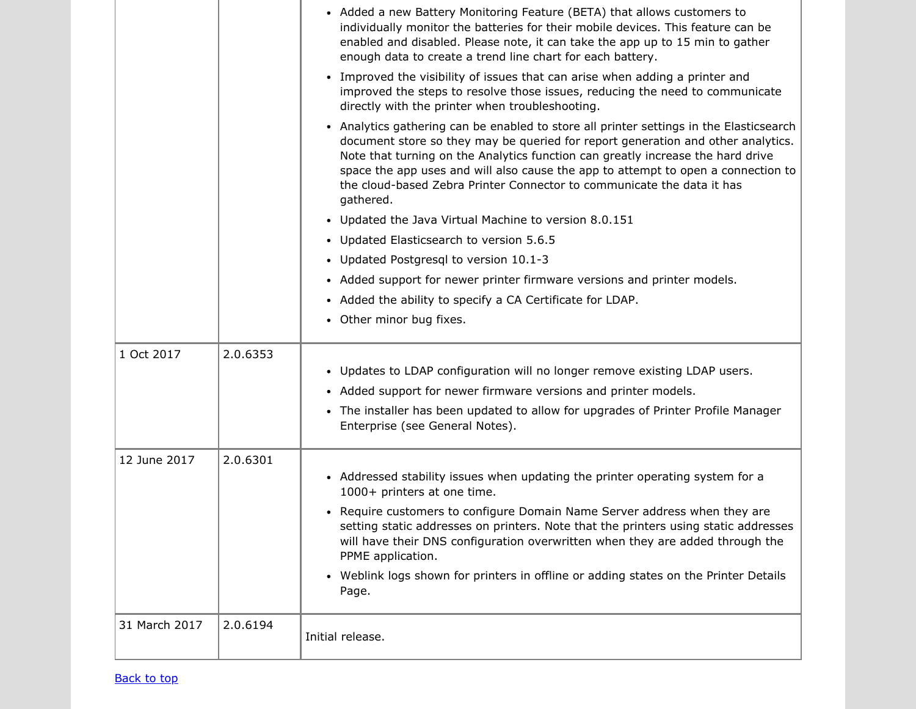|               |          | • Added a new Battery Monitoring Feature (BETA) that allows customers to<br>individually monitor the batteries for their mobile devices. This feature can be<br>enabled and disabled. Please note, it can take the app up to 15 min to gather<br>enough data to create a trend line chart for each battery.                                                                                                                                |
|---------------|----------|--------------------------------------------------------------------------------------------------------------------------------------------------------------------------------------------------------------------------------------------------------------------------------------------------------------------------------------------------------------------------------------------------------------------------------------------|
|               |          | • Improved the visibility of issues that can arise when adding a printer and<br>improved the steps to resolve those issues, reducing the need to communicate<br>directly with the printer when troubleshooting.                                                                                                                                                                                                                            |
|               |          | • Analytics gathering can be enabled to store all printer settings in the Elasticsearch<br>document store so they may be queried for report generation and other analytics.<br>Note that turning on the Analytics function can greatly increase the hard drive<br>space the app uses and will also cause the app to attempt to open a connection to<br>the cloud-based Zebra Printer Connector to communicate the data it has<br>gathered. |
|               |          | Updated the Java Virtual Machine to version 8.0.151<br>$\bullet$                                                                                                                                                                                                                                                                                                                                                                           |
|               |          | • Updated Elasticsearch to version 5.6.5                                                                                                                                                                                                                                                                                                                                                                                                   |
|               |          | • Updated Postgresql to version 10.1-3                                                                                                                                                                                                                                                                                                                                                                                                     |
|               |          | • Added support for newer printer firmware versions and printer models.                                                                                                                                                                                                                                                                                                                                                                    |
|               |          | • Added the ability to specify a CA Certificate for LDAP.                                                                                                                                                                                                                                                                                                                                                                                  |
|               |          | • Other minor bug fixes.                                                                                                                                                                                                                                                                                                                                                                                                                   |
| 1 Oct 2017    | 2.0.6353 |                                                                                                                                                                                                                                                                                                                                                                                                                                            |
|               |          | • Updates to LDAP configuration will no longer remove existing LDAP users.                                                                                                                                                                                                                                                                                                                                                                 |
|               |          | • Added support for newer firmware versions and printer models.                                                                                                                                                                                                                                                                                                                                                                            |
|               |          | • The installer has been updated to allow for upgrades of Printer Profile Manager<br>Enterprise (see General Notes).                                                                                                                                                                                                                                                                                                                       |
| 12 June 2017  | 2.0.6301 |                                                                                                                                                                                                                                                                                                                                                                                                                                            |
|               |          | • Addressed stability issues when updating the printer operating system for a<br>1000+ printers at one time.                                                                                                                                                                                                                                                                                                                               |
|               |          | • Require customers to configure Domain Name Server address when they are<br>setting static addresses on printers. Note that the printers using static addresses<br>will have their DNS configuration overwritten when they are added through the<br>PPME application.                                                                                                                                                                     |
|               |          | • Weblink logs shown for printers in offline or adding states on the Printer Details<br>Page.                                                                                                                                                                                                                                                                                                                                              |
| 31 March 2017 | 2.0.6194 | Initial release.                                                                                                                                                                                                                                                                                                                                                                                                                           |